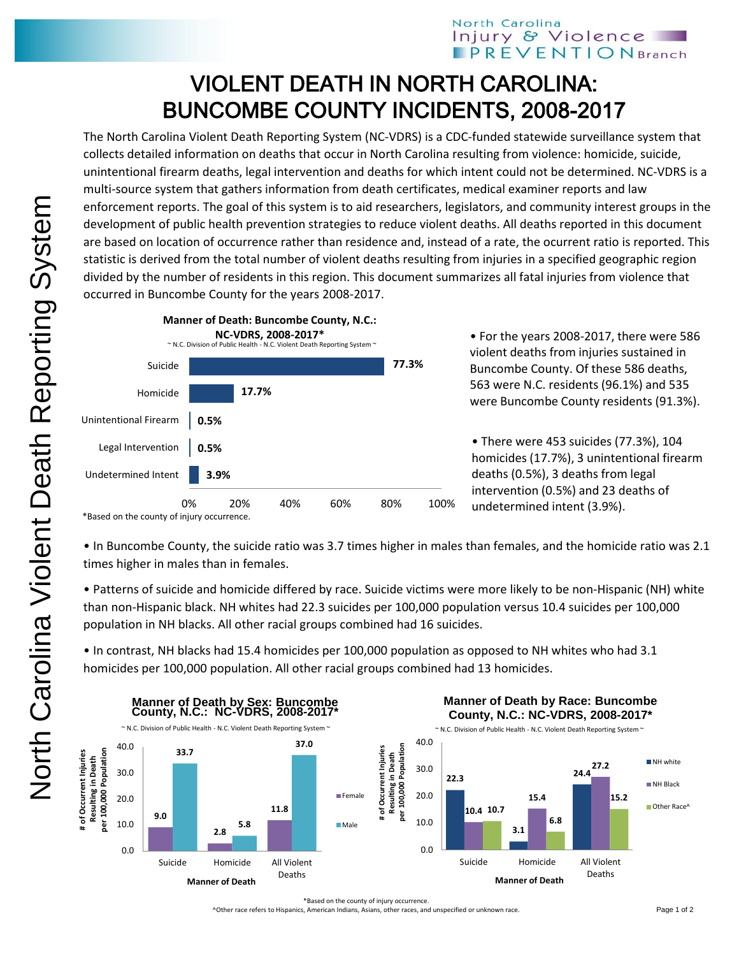## North Carolina Injury & Violence **PREVENTIONBranch**

## VIOLENT DEATH IN NORTH CAROLINA: BUNCOMBE COUNTY INCIDENTS, 2008-2017

The North Carolina Violent Death Reporting System (NC-VDRS) is a CDC-funded statewide surveillance system that collects detailed information on deaths that occur in North Carolina resulting from violence: homicide, suicide, unintentional firearm deaths, legal intervention and deaths for which intent could not be determined. NC-VDRS is a multi-source system that gathers information from death certificates, medical examiner reports and law enforcement reports. The goal of this system is to aid researchers, legislators, and community interest groups in the development of public health prevention strategies to reduce violent deaths. All deaths reported in this document are based on location of occurrence rather than residence and, instead of a rate, the ocurrent ratio is reported. This statistic is derived from the total number of violent deaths resulting from injuries in a specified geographic region divided by the number of residents in this region. This document summarizes all fatal injuries from violence that occurred in Buncombe County for the years 2008-2017.



• For the years 2008-2017, there were 586 violent deaths from injuries sustained in Buncombe County. Of these 586 deaths, 563 were N.C. residents (96.1%) and 535 were Buncombe County residents (91.3%).

• There were 453 suicides (77.3%), 104 homicides (17.7%), 3 unintentional firearm deaths (0.5%), 3 deaths from legal intervention (0.5%) and 23 deaths of undetermined intent (3.9%).

\*Based on the county of injury occurrence.

• In Buncombe County, the suicide ratio was 3.7 times higher in males than females, and the homicide ratio was 2.1 times higher in males than in females.

• Patterns of suicide and homicide differed by race. Suicide victims were more likely to be non-Hispanic (NH) white than non-Hispanic black. NH whites had 22.3 suicides per 100,000 population versus 10.4 suicides per 100,000 population in NH blacks. All other racial groups combined had 16 suicides.

• In contrast, NH blacks had 15.4 homicides per 100,000 population as opposed to NH whites who had 3.1 homicides per 100,000 population. All other racial groups combined had 13 homicides.



^Other race refers to Hispanics, American Indians, Asians, other races, and unspecified or unknown race.